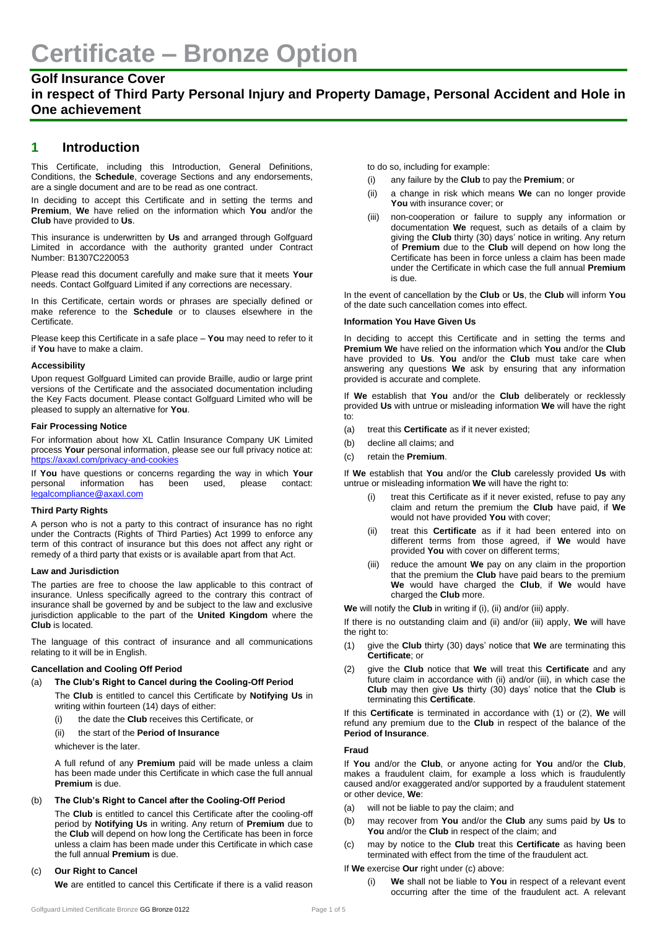# **Golf Insurance Cover**

# **in respect of Third Party Personal Injury and Property Damage, Personal Accident and Hole in One achievement**

# **1 Introduction**

This Certificate, including this Introduction, General Definitions, Conditions, the **Schedule**, coverage Sections and any endorsements, are a single document and are to be read as one contract.

In deciding to accept this Certificate and in setting the terms and **Premium, We** have relied on the information which **You** and/or the **Club** have provided to **Us**.

This insurance is underwritten by **Us** and arranged through Golfguard Limited in accordance with the authority granted under Contract Number: B1307C220053

Please read this document carefully and make sure that it meets **Your** needs. Contact Golfguard Limited if any corrections are necessary.

In this Certificate, certain words or phrases are specially defined or make reference to the **Schedule** or to clauses elsewhere in the Certificate.

Please keep this Certificate in a safe place – **You** may need to refer to it if **You** have to make a claim.

## **Accessibility**

Upon request Golfguard Limited can provide Braille, audio or large print versions of the Certificate and the associated documentation including the Key Facts document. Please contact Golfguard Limited who will be pleased to supply an alternative for **You**.

### **Fair Processing Notice**

For information about how XL Catlin Insurance Company UK Limited process **Your** personal information, please see our full privacy notice at: <https://axaxl.com/privacy-and-cookies>

If **You** have questions or concerns regarding the way in which **Your** information has been used, please contact: [legalcompliance@axaxl.com](mailto:legalcompliance@axaxl.com)

#### **Third Party Rights**

A person who is not a party to this contract of insurance has no right under the Contracts (Rights of Third Parties) Act 1999 to enforce any term of this contract of insurance but this does not affect any right or remedy of a third party that exists or is available apart from that Act.

#### **Law and Jurisdiction**

The parties are free to choose the law applicable to this contract of insurance. Unless specifically agreed to the contrary this contract of insurance shall be governed by and be subject to the law and exclusive jurisdiction applicable to the part of the **United Kingdom** where the **Club** is located.

The language of this contract of insurance and all communications relating to it will be in English.

# **Cancellation and Cooling Off Period**

- (a) **The Club's Right to Cancel during the Cooling-Off Period**
	- The **Club** is entitled to cancel this Certificate by **Notifying Us** in writing within fourteen (14) days of either:
	- (i) the date the **Club** receives this Certificate, or

(ii) the start of the **Period of Insurance**

whichever is the later.

A full refund of any **Premium** paid will be made unless a claim has been made under this Certificate in which case the full annual **Premium** is due.

#### (b) **The Club's Right to Cancel after the Cooling-Off Period**

The **Club** is entitled to cancel this Certificate after the cooling-off period by **Notifying Us** in writing. Any return of **Premium** due to the **Club** will depend on how long the Certificate has been in force unless a claim has been made under this Certificate in which case the full annual **Premium** is due.

# (c) **Our Right to Cancel**

**We** are entitled to cancel this Certificate if there is a valid reason

to do so, including for example:

- (i) any failure by the **Club** to pay the **Premium**; or
- (ii) a change in risk which means **We** can no longer provide **You** with insurance cover; or
- (iii) non-cooperation or failure to supply any information or documentation **We** request, such as details of a claim by giving the **Club** thirty (30) days' notice in writing. Any return of **Premium** due to the **Club** will depend on how long the Certificate has been in force unless a claim has been made under the Certificate in which case the full annual **Premium** is due.

In the event of cancellation by the **Club** or **Us**, the **Club** will inform **You**  of the date such cancellation comes into effect.

#### **Information You Have Given Us**

In deciding to accept this Certificate and in setting the terms and **Premium We** have relied on the information which **You** and/or the **Club**  have provided to **Us**. **You** and/or the **Club** must take care when answering any questions **We** ask by ensuring that any information provided is accurate and complete.

If **We** establish that **You** and/or the **Club** deliberately or recklessly provided **Us** with untrue or misleading information **We** will have the right to:

- (a) treat this **Certificate** as if it never existed;
- (b) decline all claims; and
- (c) retain the **Premium**.

If **We** establish that **You** and/or the **Club** carelessly provided **Us** with untrue or misleading information **We** will have the right to:

- (i) treat this Certificate as if it never existed, refuse to pay any claim and return the premium the **Club** have paid, if **We** would not have provided **You** with cover;
- (ii) treat this **Certificate** as if it had been entered into on different terms from those agreed, if **We** would have provided **You** with cover on different terms;
- (iii) reduce the amount **We** pay on any claim in the proportion that the premium the **Club** have paid bears to the premium **We** would have charged the **Club**, if **We** would have charged the **Club** more.

**We** will notify the **Club** in writing if (i), (ii) and/or (iii) apply.

If there is no outstanding claim and (ii) and/or (iii) apply, **We** will have the right to:

- (1) give the **Club** thirty (30) days' notice that **We** are terminating this **Certificate**; or
- (2) give the **Club** notice that **We** will treat this **Certificate** and any future claim in accordance with (ii) and/or (iii), in which case the **Club** may then give **Us** thirty (30) days' notice that the **Club** is terminating this **Certificate**.

If this **Certificate** is terminated in accordance with (1) or (2), **We** will refund any premium due to the **Club** in respect of the balance of the **Period of Insurance**.

#### **Fraud**

If **You** and/or the **Club**, or anyone acting for **You** and/or the **Club**, makes a fraudulent claim, for example a loss which is fraudulently caused and/or exaggerated and/or supported by a fraudulent statement or other device, **We**:

- (a) will not be liable to pay the claim; and
- (b) may recover from **You** and/or the **Club** any sums paid by **Us** to **You** and/or the **Club** in respect of the claim; and
- (c) may by notice to the **Club** treat this **Certificate** as having been terminated with effect from the time of the fraudulent act.

#### If **We** exercise **Our** right under (c) above:

(i) **We** shall not be liable to **You** in respect of a relevant event occurring after the time of the fraudulent act. A relevant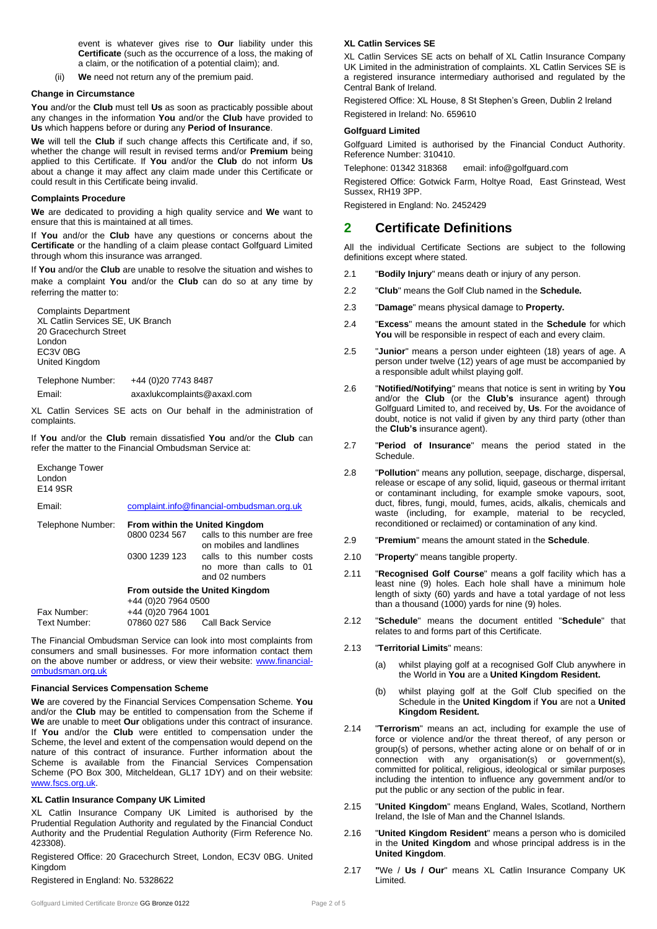event is whatever gives rise to **Our** liability under this **Certificate** (such as the occurrence of a loss, the making of a claim, or the notification of a potential claim); and.

(ii) **We** need not return any of the premium paid.

#### **Change in Circumstance**

**You** and/or the **Club** must tell **Us** as soon as practicably possible about any changes in the information **You** and/or the **Club** have provided to **Us** which happens before or during any **Period of Insurance**.

**We** will tell the **Club** if such change affects this Certificate and, if so, whether the change will result in revised terms and/or **Premium** being applied to this Certificate. If **You** and/or the **Club** do not inform **Us** about a change it may affect any claim made under this Certificate or could result in this Certificate being invalid.

## **Complaints Procedure**

**We** are dedicated to providing a high quality service and **We** want to ensure that this is maintained at all times.

If **You** and/or the **Club** have any questions or concerns about the **Certificate** or the handling of a claim please contact Golfguard Limited through whom this insurance was arranged.

If **You** and/or the **Club** are unable to resolve the situation and wishes to make a complaint **You** and/or the **Club** can do so at any time by referring the matter to:

Complaints Department XL Catlin Services SE, UK Branch 20 Gracechurch Street London EC3V 0BG United Kingdom

Telephone Number: +44 (0)20 7743 8487 Email: [axaxlukcomplaints@axaxl.com](mailto:axaxlukcomplaints@axaxl.com)

XL Catlin Services SE acts on Our behalf in the administration of complaints.

If **You** and/or the **Club** remain dissatisfied **You** and/or the **Club** can refer the matter to the Financial Ombudsman Service at:

Exchange Tower London E14 9SR Email: [complaint.info@financial-ombudsman.org.uk](mailto:complaint.info@financial-ombudsman.org.uk) Telephone Number: **From within the United Kingdom** calls to this number are free on mobiles and landlines 0300 1239 123 calls to this number costs no more than calls to 01 and 02 numbers **From outside the United Kingdom** +44 (0)20 7964 0500 Fax Number: +44 (0)20 7964 1001<br>Text Number: 07860 027 586 Ca Call Back Service

The Financial Ombudsman Service can look into most complaints from consumers and small businesses. For more information contact them on the above number or address, or view their website: [www.financial](http://www.financial-ombudsman.org.uk/)[ombudsman.org.uk](http://www.financial-ombudsman.org.uk/)

#### **Financial Services Compensation Scheme**

**We** are covered by the Financial Services Compensation Scheme. **You** and/or the **Club** may be entitled to compensation from the Scheme if **We** are unable to meet **Our** obligations under this contract of insurance. If **You** and/or the **Club** were entitled to compensation under the Scheme, the level and extent of the compensation would depend on the nature of this contract of insurance. Further information about the Scheme is available from the Financial Services Compensation Scheme (PO Box 300, Mitcheldean, GL17 1DY) and on their website: www.fscs.org.uk.

#### **XL Catlin Insurance Company UK Limited**

XL Catlin Insurance Company UK Limited is authorised by the Prudential Regulation Authority and regulated by the Financial Conduct Authority and the Prudential Regulation Authority (Firm Reference No. 423308).

Registered Office: 20 Gracechurch Street, London, EC3V 0BG. United Kingdom

Registered in England: No. 5328622

## **XL Catlin Services SE**

XL Catlin Services SE acts on behalf of XL Catlin Insurance Company UK Limited in the administration of complaints. XL Catlin Services SE is a registered insurance intermediary authorised and regulated by the Central Bank of Ireland.

Registered Office: XL House, 8 St Stephen's Green, Dublin 2 Ireland Registered in Ireland: No. 659610

#### **Golfguard Limited**

Golfguard Limited is authorised by the Financial Conduct Authority. Reference Number: 310410.

Telephone: 01342 318368 email: info@golfguard.com

Registered Office: Gotwick Farm, Holtye Road, East Grinstead, West Sussex, RH19 3PP.

Registered in England: No. 2452429

# **2 Certificate Definitions**

All the individual Certificate Sections are subject to the following definitions except where stated.

- 2.1 "**Bodily Injury**" means death or injury of any person.
- 2.2 "**Club**" means the Golf Club named in the **Schedule.**
- 2.3 "**Damage**" means physical damage to **Property.**
- 2.4 "**Excess**" means the amount stated in the **Schedule** for which **You** will be responsible in respect of each and every claim.
- 2.5 "**Junior**" means a person under eighteen (18) years of age. A person under twelve (12) years of age must be accompanied by a responsible adult whilst playing golf.
- 2.6 "**Notified/Notifying**" means that notice is sent in writing by **You**  and/or the **Club** (or the **Club's** insurance agent) through Golfguard Limited to, and received by, **Us**. For the avoidance of doubt, notice is not valid if given by any third party (other than the **Club's** insurance agent).
- 2.7 "**Period of Insurance**" means the period stated in the Schedule.
- 2.8 "**Pollution**" means any pollution, seepage, discharge, dispersal, release or escape of any solid, liquid, gaseous or thermal irritant or contaminant including, for example smoke vapours, soot, duct, fibres, fungi, mould, fumes, acids, alkalis, chemicals and waste (including, for example, material to be recycled, reconditioned or reclaimed) or contamination of any kind.
- 2.9 "**Premium**" means the amount stated in the **Schedule**.
- 2.10 "**Property**" means tangible property.
- 2.11 "**Recognised Golf Course**" means a golf facility which has a least nine (9) holes. Each hole shall have a minimum hole length of sixty (60) yards and have a total yardage of not less than a thousand (1000) yards for nine (9) holes.
- 2.12 "**Schedule**" means the document entitled "**Schedule**" that relates to and forms part of this Certificate.
- 2.13 "**Territorial Limits**" means:
	- (a) whilst playing golf at a recognised Golf Club anywhere in the World in **You** are a **United Kingdom Resident.**
	- (b) whilst playing golf at the Golf Club specified on the Schedule in the **United Kingdom** if **You** are not a **United Kingdom Resident.**
- 2.14 "**Terrorism**" means an act, including for example the use of force or violence and/or the threat thereof, of any person or group(s) of persons, whether acting alone or on behalf of or in connection with any organisation(s) or government(s), committed for political, religious, ideological or similar purposes including the intention to influence any government and/or to put the public or any section of the public in fear.
- 2.15 "**United Kingdom**" means England, Wales, Scotland, Northern Ireland, the Isle of Man and the Channel Islands.
- 2.16 "**United Kingdom Resident**" means a person who is domiciled in the **United Kingdom** and whose principal address is in the **United Kingdom**.
- 2.17 **"**We / **Us / Our**" means XL Catlin Insurance Company UK Limited.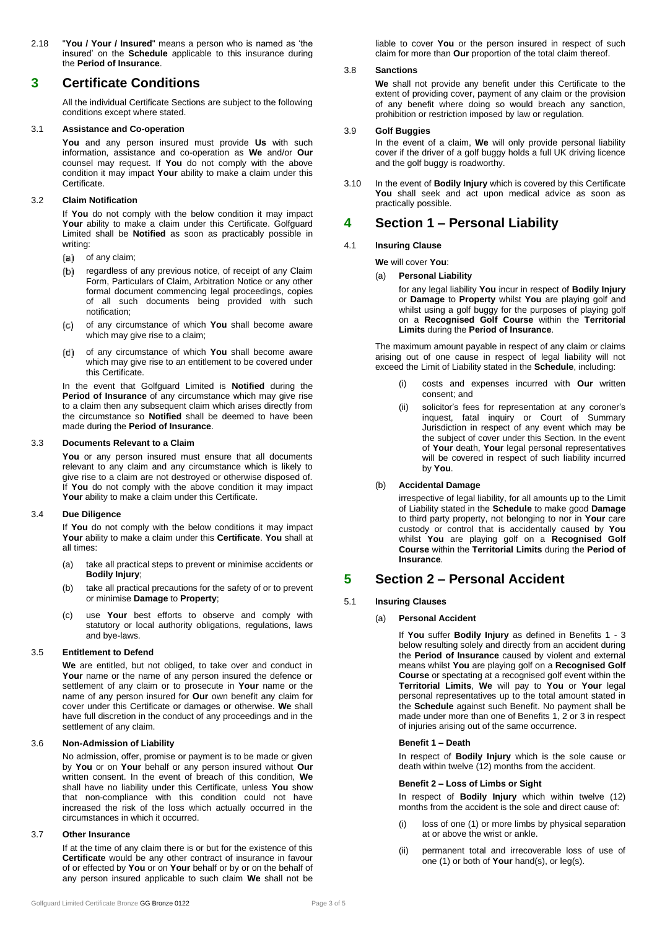2.18 "**You / Your / Insured**" means a person who is named as 'the insured' on the **Schedule** applicable to this insurance during the **Period of Insurance**.

# **3 Certificate Conditions**

All the individual Certificate Sections are subject to the following conditions except where stated.

## 3.1 **Assistance and Co-operation**

**You** and any person insured must provide **Us** with such information, assistance and co-operation as **We** and/or **Our** counsel may request. If **You** do not comply with the above condition it may impact **Your** ability to make a claim under this Certificate.

# 3.2 **Claim Notification**

If **You** do not comply with the below condition it may impact Your ability to make a claim under this Certificate. Golfguard Limited shall be **Notified** as soon as practicably possible in writing:

- (a) of any claim;
- regardless of any previous notice, of receipt of any Claim  $(b)$ Form, Particulars of Claim, Arbitration Notice or any other formal document commencing legal proceedings, copies of all such documents being provided with such notification;
- of any circumstance of which **You** shall become aware which may give rise to a claim;
- $(d)$ of any circumstance of which **You** shall become aware which may give rise to an entitlement to be covered under this Certificate.

In the event that Golfguard Limited is **Notified** during the Period of Insurance of any circumstance which may give rise to a claim then any subsequent claim which arises directly from the circumstance so **Notified** shall be deemed to have been made during the **Period of Insurance**.

## 3.3 **Documents Relevant to a Claim**

**You** or any person insured must ensure that all documents relevant to any claim and any circumstance which is likely to give rise to a claim are not destroyed or otherwise disposed of. If **You** do not comply with the above condition it may impact Your ability to make a claim under this Certificate.

#### 3.4 **Due Diligence**

If **You** do not comply with the below conditions it may impact **Your** ability to make a claim under this **Certificate**. **You** shall at all times:

- (a) take all practical steps to prevent or minimise accidents or **Bodily Injury**;
- (b) take all practical precautions for the safety of or to prevent or minimise **Damage** to **Property**;
- (c) use **Your** best efforts to observe and comply with statutory or local authority obligations, regulations, laws and bye-laws.

#### 3.5 **Entitlement to Defend**

**We** are entitled, but not obliged, to take over and conduct in Your name or the name of any person insured the defence or settlement of any claim or to prosecute in **Your** name or the name of any person insured for **Our** own benefit any claim for cover under this Certificate or damages or otherwise. **We** shall have full discretion in the conduct of any proceedings and in the settlement of any claim.

## 3.6 **Non-Admission of Liability**

No admission, offer, promise or payment is to be made or given by **You** or on **Your** behalf or any person insured without **Our** written consent. In the event of breach of this condition, **We** shall have no liability under this Certificate, unless **You** show that non-compliance with this condition could not have increased the risk of the loss which actually occurred in the circumstances in which it occurred.

#### 3.7 **Other Insurance**

If at the time of any claim there is or but for the existence of this **Certificate** would be any other contract of insurance in favour of or effected by **You** or on **Your** behalf or by or on the behalf of any person insured applicable to such claim **We** shall not be

liable to cover **You** or the person insured in respect of such claim for more than **Our** proportion of the total claim thereof.

# 3.8 **Sanctions**

**We** shall not provide any benefit under this Certificate to the extent of providing cover, payment of any claim or the provision of any benefit where doing so would breach any sanction, prohibition or restriction imposed by law or regulation.

## 3.9 **Golf Buggies**

In the event of a claim, **We** will only provide personal liability cover if the driver of a golf buggy holds a full UK driving licence and the golf buggy is roadworthy.

3.10 In the event of **Bodily Injury** which is covered by this Certificate You shall seek and act upon medical advice as soon as practically possible.

# **4 Section 1 – Personal Liability**

## 4.1 **Insuring Clause**

**We** will cover **You**:

(a) **Personal Liability**

for any legal liability **You** incur in respect of **Bodily Injury** or **Damage** to **Property** whilst **You** are playing golf and whilst using a golf buggy for the purposes of playing golf on a **Recognised Golf Course** within the **Territorial Limits** during the **Period of Insurance**.

The maximum amount payable in respect of any claim or claims arising out of one cause in respect of legal liability will not exceed the Limit of Liability stated in the **Schedule**, including:

- (i) costs and expenses incurred with **Our** written consent; and
- (ii) solicitor's fees for representation at any coroner's inquest, fatal inquiry or Court of Summary Jurisdiction in respect of any event which may be the subject of cover under this Section. In the event of **Your** death, **Your** legal personal representatives will be covered in respect of such liability incurred by **You**.

## (b) **Accidental Damage**

irrespective of legal liability, for all amounts up to the Limit of Liability stated in the **Schedule** to make good **Damage** to third party property, not belonging to nor in **Your** care custody or control that is accidentally caused by **You** whilst **You** are playing golf on a **Recognised Golf Course** within the **Territorial Limits** during the **Period of Insurance**.

# **5 Section 2 – Personal Accident**

# 5.1 **Insuring Clauses**

(a) **Personal Accident**

If **You** suffer **Bodily Injury** as defined in Benefits 1 - 3 below resulting solely and directly from an accident during the **Period of Insurance** caused by violent and external means whilst **You** are playing golf on a **Recognised Golf Course** or spectating at a recognised golf event within the **Territorial Limits**, **We** will pay to **You** or **Your** legal personal representatives up to the total amount stated in the **Schedule** against such Benefit. No payment shall be made under more than one of Benefits 1, 2 or 3 in respect of injuries arising out of the same occurrence.

#### **Benefit 1 – Death**

In respect of **Bodily Injury** which is the sole cause or death within twelve (12) months from the accident.

#### **Benefit 2 – Loss of Limbs or Sight**

In respect of **Bodily Injury** which within twelve (12) months from the accident is the sole and direct cause of:

- (i) loss of one (1) or more limbs by physical separation at or above the wrist or ankle.
- (ii) permanent total and irrecoverable loss of use of one (1) or both of **Your** hand(s), or leg(s).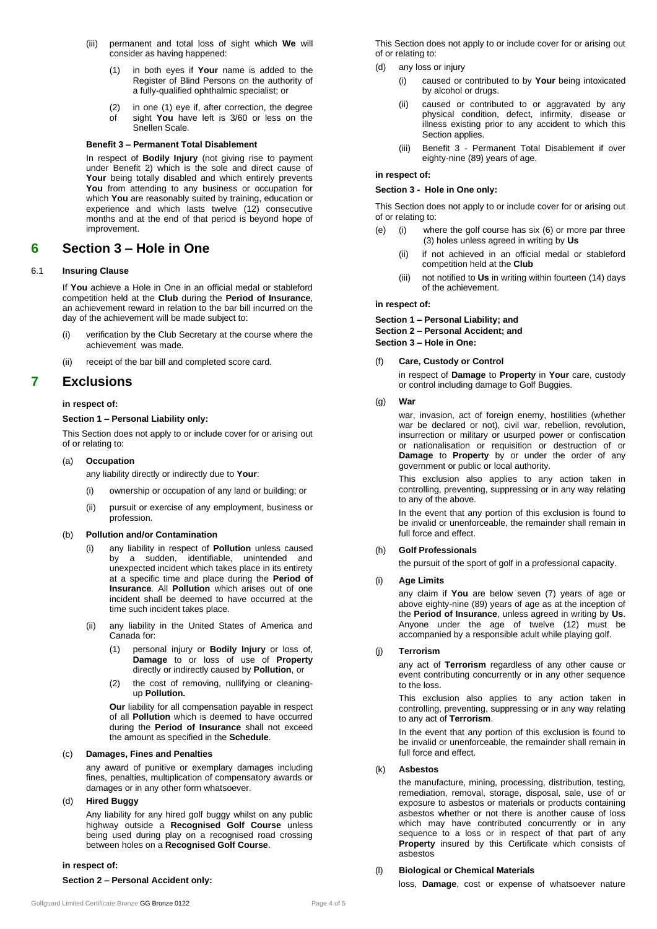- (iii) permanent and total loss of sight which **We** will consider as having happened:
	- (1) in both eyes if **Your** name is added to the Register of Blind Persons on the authority of a fully-qualified ophthalmic specialist; or
	- (2) in one (1) eye if, after correction, the degree sight You have left is 3/60 or less on the Snellen Scale.

### **Benefit 3 – Permanent Total Disablement**

In respect of **Bodily Injury** (not giving rise to payment under Benefit 2) which is the sole and direct cause of Your being totally disabled and which entirely prevents **You** from attending to any business or occupation for which **You** are reasonably suited by training, education or experience and which lasts twelve (12) consecutive months and at the end of that period is beyond hope of improvement.

# **6 Section 3 – Hole in One**

# 6.1 **Insuring Clause**

If **You** achieve a Hole in One in an official medal or stableford competition held at the **Club** during the **Period of Insurance**, an achievement reward in relation to the bar bill incurred on the day of the achievement will be made subject to:

- (i) verification by the Club Secretary at the course where the achievement was made.
- (ii) receipt of the bar bill and completed score card.

# **7 Exclusions**

## **in respect of:**

# **Section 1 – Personal Liability only:**

This Section does not apply to or include cover for or arising out of or relating to:

#### (a) **Occupation**

any liability directly or indirectly due to **Your**:

- (i) ownership or occupation of any land or building; or
- (ii) pursuit or exercise of any employment, business or profession.

#### (b) **Pollution and/or Contamination**

- (i) any liability in respect of **Pollution** unless caused by a sudden, identifiable, unintended and unexpected incident which takes place in its entirety at a specific time and place during the **Period of Insurance**. All **Pollution** which arises out of one incident shall be deemed to have occurred at the time such incident takes place.
- (ii) any liability in the United States of America and Canada for:
	- (1) personal injury or **Bodily Injury** or loss of, **Damage** to or loss of use of **Property** directly or indirectly caused by **Pollution**, or
	- (2) the cost of removing, nullifying or cleaningup **Pollution.**

**Our** liability for all compensation payable in respect of all **Pollution** which is deemed to have occurred during the **Period of Insurance** shall not exceed the amount as specified in the **Schedule**.

# (c) **Damages, Fines and Penalties**

any award of punitive or exemplary damages including fines, penalties, multiplication of compensatory awards or damages or in any other form whatsoever.

# (d) **Hired Buggy**

Any liability for any hired golf buggy whilst on any public highway outside a **Recognised Golf Course** unless being used during play on a recognised road crossing between holes on a **Recognised Golf Course**.

#### **in respect of:**

#### **Section 2 – Personal Accident only:**

This Section does not apply to or include cover for or arising out of or relating to:

- (d) any loss or injury
	- (i) caused or contributed to by **Your** being intoxicated by alcohol or drugs.
	- (ii) caused or contributed to or aggravated by any physical condition, defect, infirmity, disease or illness existing prior to any accident to which this Section applies.
	- (iii) Benefit 3 Permanent Total Disablement if over eighty-nine (89) years of age.

# **in respect of:**

# **Section 3 - Hole in One only:**

This Section does not apply to or include cover for or arising out of or relating to:

- (e) (i) where the golf course has six (6) or more par three (3) holes unless agreed in writing by **Us**
	- (ii) if not achieved in an official medal or stableford competition held at the **Club**
	- (iii) not notified to **Us** in writing within fourteen (14) days of the achievement.

#### **in respect of:**

**Section 1 – Personal Liability; and Section 2 – Personal Accident; and Section 3 – Hole in One:**

#### (f) **Care, Custody or Control**

in respect of **Damage** to **Property** in **Your** care, custody or control including damage to Golf Buggies.

#### (g) **War**

war, invasion, act of foreign enemy, hostilities (whether war be declared or not), civil war, rebellion, revolution, insurrection or military or usurped power or confiscation or nationalisation or requisition or destruction of or **Damage** to **Property** by or under the order of any government or public or local authority.

This exclusion also applies to any action taken in controlling, preventing, suppressing or in any way relating to any of the above.

In the event that any portion of this exclusion is found to be invalid or unenforceable, the remainder shall remain in full force and effect.

#### (h) **Golf Professionals**

the pursuit of the sport of golf in a professional capacity.

# (i) **Age Limits**

any claim if **You** are below seven (7) years of age or above eighty-nine (89) years of age as at the inception of the **Period of Insurance**, unless agreed in writing by **Us**. Anyone under the age of twelve (12) must be accompanied by a responsible adult while playing golf.

#### (j) **Terrorism**

any act of **Terrorism** regardless of any other cause or event contributing concurrently or in any other sequence to the loss.

This exclusion also applies to any action taken in controlling, preventing, suppressing or in any way relating to any act of **Terrorism**.

In the event that any portion of this exclusion is found to be invalid or unenforceable, the remainder shall remain in full force and effect.

#### (k) **Asbestos**

the manufacture, mining, processing, distribution, testing, remediation, removal, storage, disposal, sale, use of or exposure to asbestos or materials or products containing asbestos whether or not there is another cause of loss which may have contributed concurrently or in any sequence to a loss or in respect of that part of any **Property** insured by this Certificate which consists of asbestos

#### (l) **Biological or Chemical Materials**

loss, **Damage**, cost or expense of whatsoever nature